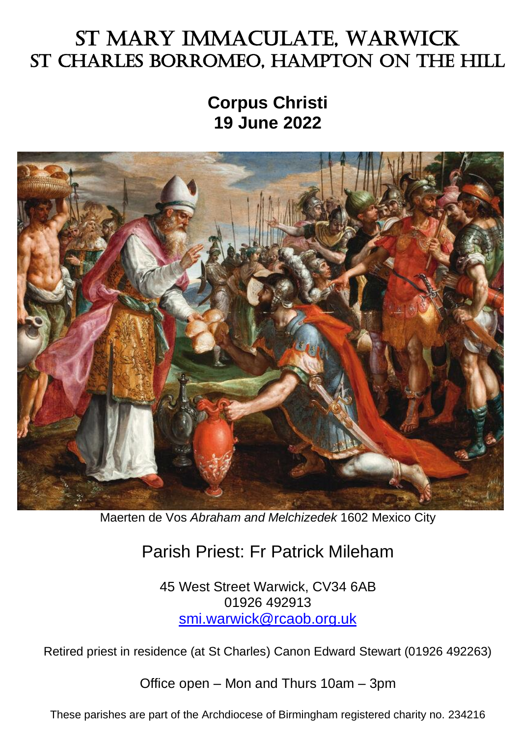# St Mary Immaculate, Warwick St Charles Borromeo, Hampton on the Hill

**Corpus Christi 19 June 2022**



Maerten de Vos *Abraham and Melchizedek* 1602 Mexico City

## Parish Priest: Fr Patrick Mileham

45 West Street Warwick, CV34 6AB 01926 492913 [smi.warwick@rcaob.org.uk](mailto:smi.warwick@rcaob.org.uk)

Retired priest in residence (at St Charles) Canon Edward Stewart (01926 492263)

Office open – Mon and Thurs 10am – 3pm

These parishes are part of the Archdiocese of Birmingham registered charity no. 234216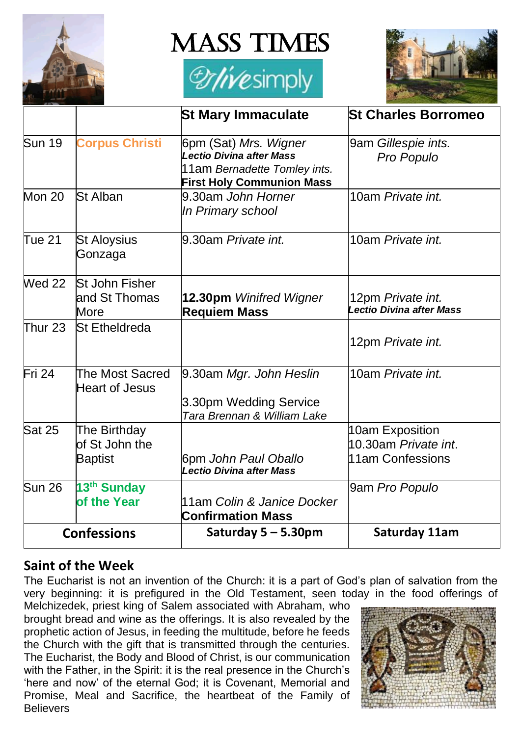

**MASS TIMES** 





|                    |                                                  | <b>St Mary Immaculate</b>                                                                                                    | <b>St Charles Borromeo</b>                                          |
|--------------------|--------------------------------------------------|------------------------------------------------------------------------------------------------------------------------------|---------------------------------------------------------------------|
| <b>Sun 19</b>      | <b>Corpus Christi</b>                            | 6pm (Sat) Mrs. Wigner<br><b>Lectio Divina after Mass</b><br>11am Bernadette Tomley ints.<br><b>First Holy Communion Mass</b> | 9am Gillespie ints.<br>Pro Populo                                   |
| <b>Mon 20</b>      | St Alban                                         | 9.30am John Horner<br>In Primary school                                                                                      | 10am Private int.                                                   |
| <b>Tue 21</b>      | <b>St Aloysius</b><br>Gonzaga                    | 9.30am Private int.                                                                                                          | 10am Private int.                                                   |
| <b>Wed 22</b>      | St John Fisher<br>and St Thomas<br>More          | 12.30pm Winifred Wigner<br><b>Requiem Mass</b>                                                                               | 12pm Private int.<br>Lectio Divina after Mass                       |
| Thur 23            | <b>St Etheldreda</b>                             |                                                                                                                              | 12pm Private int.                                                   |
| Fri 24             | The Most Sacred<br><b>Heart of Jesus</b>         | 9.30am Mgr. John Heslin<br>3.30pm Wedding Service<br>Tara Brennan & William Lake                                             | 10am Private int.                                                   |
| <b>Sat 25</b>      | The Birthday<br>of St John the<br><b>Baptist</b> | 6pm John Paul Oballo<br>Lectio Divina after Mass                                                                             | 10am Exposition<br>10.30am <i>Private int</i> .<br>11am Confessions |
| <b>Sun 26</b>      | 13 <sup>th</sup> Sunday<br>of the Year           | 11am Colin & Janice Docker<br><b>Confirmation Mass</b>                                                                       | 9am Pro Populo                                                      |
| <b>Confessions</b> |                                                  | Saturday $5 - 5.30$ pm                                                                                                       | Saturday 11am                                                       |

### **Saint of the Week**

The Eucharist is not an invention of the Church: it is a part of God's plan of salvation from the very beginning: it is prefigured in the Old Testament, seen today in the food offerings of

Melchizedek, priest king of Salem associated with Abraham, who brought bread and wine as the offerings. It is also revealed by the prophetic action of Jesus, in feeding the multitude, before he feeds the Church with the gift that is transmitted through the centuries. The Eucharist, the Body and Blood of Christ, is our communication with the Father, in the Spirit: it is the real presence in the Church's 'here and now' of the eternal God; it is Covenant, Memorial and Promise, Meal and Sacrifice, the heartbeat of the Family of **Believers** 

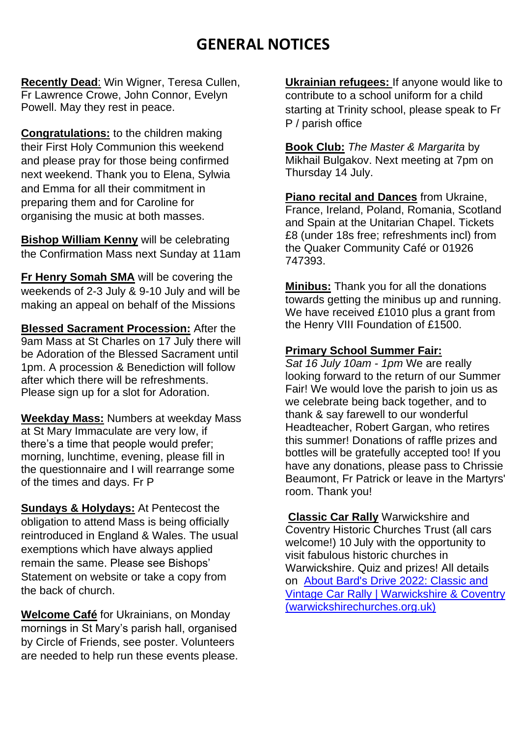### **GENERAL NOTICES**

**Recently Dead**: Win Wigner, Teresa Cullen, Fr Lawrence Crowe, John Connor, Evelyn Powell. May they rest in peace.

**Congratulations:** to the children making their First Holy Communion this weekend and please pray for those being confirmed next weekend. Thank you to Elena, Sylwia and Emma for all their commitment in preparing them and for Caroline for organising the music at both masses.

**Bishop William Kenny** will be celebrating the Confirmation Mass next Sunday at 11am

**Fr Henry Somah SMA** will be covering the weekends of 2-3 July & 9-10 July and will be making an appeal on behalf of the Missions

**Blessed Sacrament Procession:** After the 9am Mass at St Charles on 17 July there will be Adoration of the Blessed Sacrament until 1pm. A procession & Benediction will follow after which there will be refreshments. Please sign up for a slot for Adoration.

**Weekday Mass:** Numbers at weekday Mass at St Mary Immaculate are very low, if there's a time that people would prefer; morning, lunchtime, evening, please fill in the questionnaire and I will rearrange some of the times and days. Fr P

**Sundays & Holydays:** At Pentecost the obligation to attend Mass is being officially reintroduced in England & Wales. The usual exemptions which have always applied remain the same. Please see Bishops' Statement on website or take a copy from the back of church.

**Welcome Café** for Ukrainians, on Monday mornings in St Mary's parish hall, organised by Circle of Friends, see poster. Volunteers are needed to help run these events please. **Ukrainian refugees:** If anyone would like to contribute to a school uniform for a child starting at Trinity school, please speak to Fr P / parish office

**Book Club:** *The Master & Margarita* by Mikhail Bulgakov. Next meeting at 7pm on Thursday 14 July.

**Piano recital and Dances** from Ukraine, France, Ireland, Poland, Romania, Scotland and Spain at the Unitarian Chapel. Tickets £8 (under 18s free; refreshments incl) from the Quaker Community Café or 01926 747393.

**Minibus:** Thank you for all the donations towards getting the minibus up and running. We have received £1010 plus a grant from the Henry VIII Foundation of £1500.

#### **Primary School Summer Fair:**

*Sat 16 July 10am - 1pm* We are really looking forward to the return of our Summer Fair! We would love the parish to join us as we celebrate being back together, and to thank & say farewell to our wonderful Headteacher, Robert Gargan, who retires this summer! Donations of raffle prizes and bottles will be gratefully accepted too! If you have any donations, please pass to Chrissie Beaumont, Fr Patrick or leave in the Martyrs' room. Thank you!

**Classic Car Rally** Warwickshire and Coventry Historic Churches Trust (all cars welcome!) 10 July with the opportunity to visit fabulous historic churches in Warwickshire. Quiz and prizes! All details on [About Bard's Drive 2022: Classic and](https://warwickshirechurches.org.uk/about-bards-drive-fossway-family-frolics/)  [Vintage Car Rally | Warwickshire & Coventry](https://warwickshirechurches.org.uk/about-bards-drive-fossway-family-frolics/)  [\(warwickshirechurches.org.uk\)](https://warwickshirechurches.org.uk/about-bards-drive-fossway-family-frolics/)